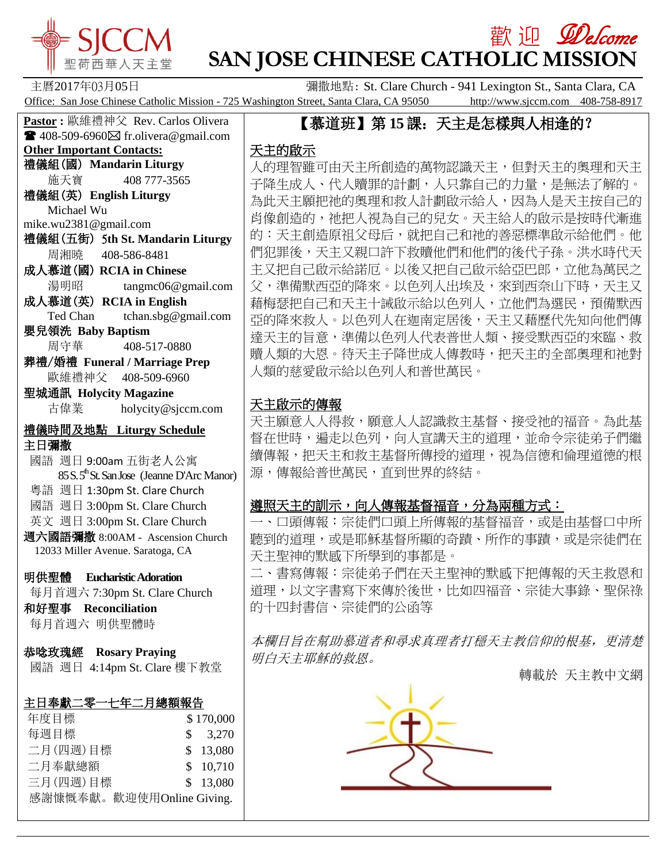

# **歡迎** *Welcome* **SAN JOSE CHINESE CATHOLIC MISSION**

主曆2017年03月05日 彌撒地點: St. Clare Church - 941 Lexington St., Santa Clara, CA Office: San Jose Chinese Catholic Mission - 725 Washington Street, Santa Clara, CA 95050 http://www.sjccm.com 408-758-8917

# 【慕道班】第 **15**課:天主是怎樣與人相逢的?

## 天主的啟示

人的理智雖可由天主所創造的萬物認識天主,但對天主的奧理和天主 子降生成人、代人贖罪的計劃,人只靠自己的力量,是無法了解的。 為此天主願把祂的奧理和救人計劃啟示給人,因為人是天主按自己的 肖像創造的,祂把人視為自己的兒女。天主給人的啟示是按時代漸進 的:天主創造原祖父母后,就把自己和祂的善惡標準啟示給他們。他 們犯罪後,天主又親口許下救贖他們和他們的後代子孫。洪水時代天 主又把自己啟示給諾厄。以後又把自己啟示給亞巴郎,立他為萬民之 父,準備默西亞的降來。以色列人出埃及,來到西奈山下時,天主又 藉梅瑟把自己和天主十誡啟示給以色列人,立他們為選民,預備默西 亞的降來救人。以色列人在迦南定居後,天主又藉歷代先知向他們傳 達天主的旨意,準備以色列人代表普世人類、接受默西亞的來臨、救 贖人類的大恩。待天主子降世成人傳教時,把天主的全部奧理和祂對 人類的慈愛啟示給以色列人和普世萬民。

## 天主啟示的傳報

天主願意人人得救,願意人人認識救主基督、接受祂的福音。為此基 督在世時,遍走以色列,向人宣講天主的道理,並命令宗徒弟子們繼 續傳報,把天主和救主基督所傳授的道理,視為信德和倫理道德的根 源,傳報給普世萬民,直到世界的終結。

## 遵照天主的訓示,向人傳報基督福音,分為兩種方式:

一、口頭傳報:宗徒們口頭上所傳報的基督福音,或是由基督口中所 聽到的道理,或是耶穌基督所顯的奇蹟、所作的事蹟,或是宗徒們在 天主聖神的默感下所學到的事都是。

二、書寫傳報:宗徒弟子們在天主聖神的默感下把傳報的天主救恩和 道理,以文字書寫下來傳於後世,比如四福音、宗徒大事錄、聖保祿 的十四封書信、宗徒們的公函等

本欄目旨在幫助慕道者和尋求真理者打穩天主教信仰的根基,更清楚 明白天主耶穌的救恩。

轉載於 [天主教中文網](http://mp.weixin.qq.com/s?__biz=MjM5OTM5ODAxMg==&mid=2653787330&idx=5&sn=9271a68dd6b3062d1b62a9f5dcc4aac3&chksm=bce52bd18b92a2c77fd4201d480daa8cbb3371020e1a263829fcc2d2fd3b716eca8625ca46ca&scene=0#wechat_redirect)



**Pastor :** 歐維禮神父 Rev. Carlos Olivera  $\blacksquare$  408-509-6960 $\boxtimes$  fr.olivera@gmail.com **Other Important Contacts:** 禮儀組(國) **Mandarin Liturgy** 施天寶 408 777-3565 禮儀組(英) **English Liturgy** Michael Wu mike.wu2381@gmail.com 禮儀組(五街) 5**th St. Mandarin Liturgy** 周湘曉 408-586-8481 成人慕道(國) **RCIA in Chinese** 湯明昭 tangmc06@gmail.com 成人慕道(英) **RCIA in English** Ted Chan tchan.sbg@gmail.com 嬰兒領洗 **Baby Baptism** 周守華 408-517-0880 葬禮/婚禮 **Funeral / Marriage Prep** 歐維禮神父 408-509-6960 聖城通訊 **Holycity Magazine** 古偉業 [holycity@sjccm.com](mailto:holycity@sjccm.com) 禮儀時間及地點 **Liturgy Schedule** 主日彌撒 國語 週日 9:00am 五街老人公寓  $85 S. 5<sup>th</sup>$ St. San Jose (Jeanne D'Arc Manor) 粵語 週日 1:30pm St. Clare Church 國語 週日 3:00pm St. Clare Church 英文 週日 3:00pm St. Clare Church 週六國語彌撒 8:00AM - Ascension Church 12033 Miller Avenue. Saratoga, CA 明供聖體 **Eucharistic Adoration** 每月首週六 7:30pm St. Clare Church 和好聖事 **Reconciliation** 每月首週六 明供聖體時 恭唸玫瑰經 **Rosary Praying** 國語 週日 4:14pm St. Clare 樓下教堂 主日奉獻二零一七年二月總額報告 年度目標 <br>
\$ 170,000 每週目標 \$ 3,270 二月(四週)目標 \$ 13,080 二月奉獻總額 \$ 10,710 三月(四週)目標 \$ 13,080

感謝慷慨奉獻。歡迎使用Online Giving.